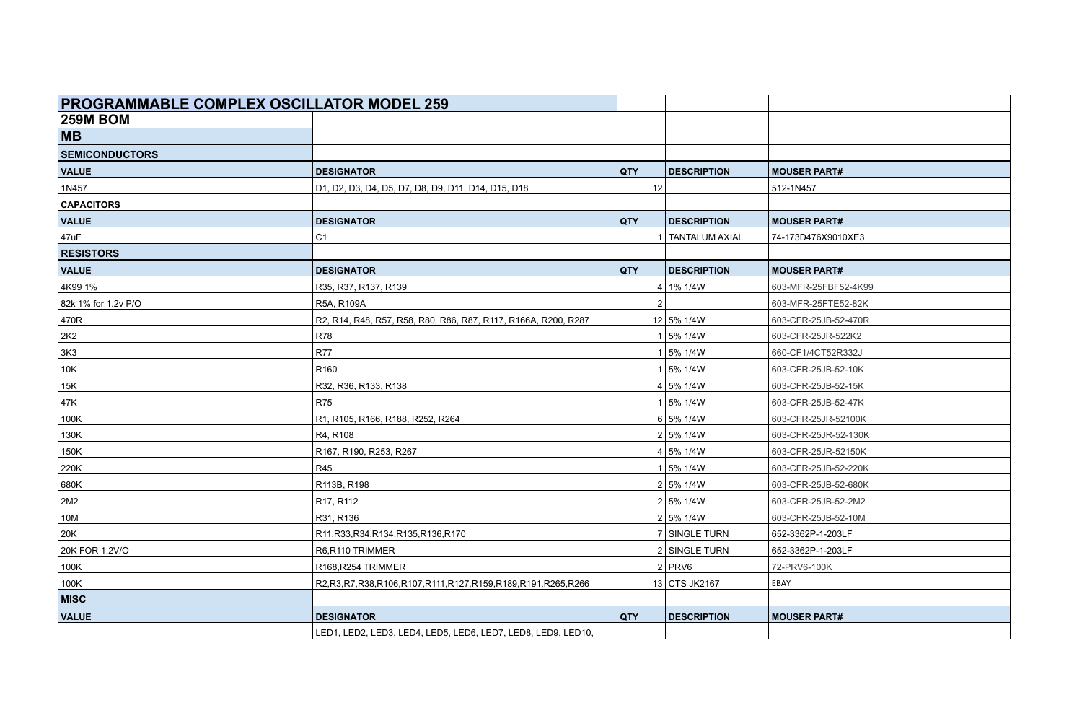| <b>PROGRAMMABLE COMPLEX OSCILLATOR MODEL 259</b> |                                                                       |            |                    |                      |
|--------------------------------------------------|-----------------------------------------------------------------------|------------|--------------------|----------------------|
| <b>259M BOM</b>                                  |                                                                       |            |                    |                      |
| <b>MB</b>                                        |                                                                       |            |                    |                      |
| <b>SEMICONDUCTORS</b>                            |                                                                       |            |                    |                      |
| <b>VALUE</b>                                     | <b>DESIGNATOR</b>                                                     | <b>QTY</b> | <b>DESCRIPTION</b> | <b>MOUSER PART#</b>  |
| 1N457                                            | D1, D2, D3, D4, D5, D7, D8, D9, D11, D14, D15, D18                    | 12         |                    | 512-1N457            |
| <b>CAPACITORS</b>                                |                                                                       |            |                    |                      |
| <b>VALUE</b>                                     | <b>DESIGNATOR</b>                                                     | <b>QTY</b> | <b>DESCRIPTION</b> | <b>MOUSER PART#</b>  |
| 47uF                                             | C <sub>1</sub>                                                        |            | TANTALUM AXIAL     | 74-173D476X9010XE3   |
| <b>RESISTORS</b>                                 |                                                                       |            |                    |                      |
| <b>VALUE</b>                                     | <b>DESIGNATOR</b>                                                     | QTY        | <b>DESCRIPTION</b> | <b>MOUSER PART#</b>  |
| 4K99 1%                                          | R35, R37, R137, R139                                                  |            | $4 1\% 1/4W$       | 603-MFR-25FBF52-4K99 |
| 82k 1% for 1.2v P/O                              | R5A, R109A                                                            |            |                    | 603-MFR-25FTE52-82K  |
| 470R                                             | R2, R14, R48, R57, R58, R80, R86, R87, R117, R166A, R200, R287        |            | 12 5% 1/4W         | 603-CFR-25JB-52-470R |
| 2K <sub>2</sub>                                  | <b>R78</b>                                                            |            | 1 5% 1/4W          | 603-CFR-25JR-522K2   |
| 3K3                                              | <b>R77</b>                                                            |            | 1 5% 1/4W          | 660-CF1/4CT52R332J   |
| 10K                                              | R <sub>160</sub>                                                      |            | 1 5% 1/4W          | 603-CFR-25JB-52-10K  |
| 15K                                              | R32, R36, R133, R138                                                  |            | 4 5%1/4W           | 603-CFR-25JB-52-15K  |
| 47K                                              | <b>R75</b>                                                            |            | 1 5% 1/4W          | 603-CFR-25JB-52-47K  |
| 100K                                             | R1, R105, R166, R188, R252, R264                                      |            | 6 5%1/4W           | 603-CFR-25JR-52100K  |
| 130K                                             | R4, R108                                                              |            | 2 5% 1/4W          | 603-CFR-25JR-52-130K |
| 150K                                             | R167, R190, R253, R267                                                |            | 4 5% 1/4W          | 603-CFR-25JR-52150K  |
| 220K                                             | <b>R45</b>                                                            |            | 1 5% 1/4W          | 603-CFR-25JB-52-220K |
| 680K                                             | R113B, R198                                                           |            | 2 5% 1/4W          | 603-CFR-25JB-52-680K |
| 2M2                                              | R17, R112                                                             |            | 2 5% 1/4W          | 603-CFR-25JB-52-2M2  |
| 10M                                              | R31, R136                                                             |            | 2 5% 1/4W          | 603-CFR-25JB-52-10M  |
| 20K                                              | R11, R33, R34, R134, R135, R136, R170                                 |            | 7 SINGLE TURN      | 652-3362P-1-203LF    |
| 20K FOR 1.2V/O                                   | R6,R110 TRIMMER                                                       |            | 2 SINGLE TURN      | 652-3362P-1-203LF    |
| 100K                                             | R168, R254 TRIMMER                                                    |            | $2$ PRV6           | 72-PRV6-100K         |
| 100K                                             | R2, R3, R7, R38, R106, R107, R111, R127, R159, R189, R191, R265, R266 |            | 13 CTS JK2167      | EBAY                 |
| <b>MISC</b>                                      |                                                                       |            |                    |                      |
| <b>VALUE</b>                                     | <b>DESIGNATOR</b>                                                     | <b>QTY</b> | <b>DESCRIPTION</b> | <b>MOUSER PART#</b>  |
|                                                  | LED1, LED2, LED3, LED4, LED5, LED6, LED7, LED8, LED9, LED10,          |            |                    |                      |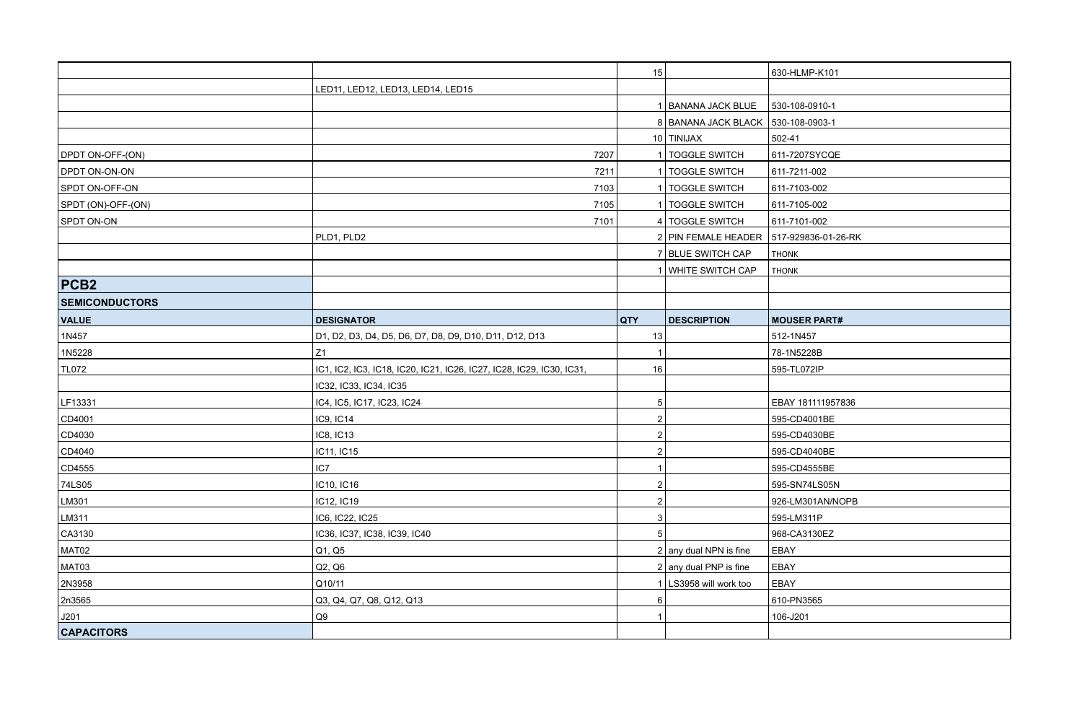|                       |                                                                      | 15             |                                         | 630-HLMP-K101       |
|-----------------------|----------------------------------------------------------------------|----------------|-----------------------------------------|---------------------|
|                       | LED11, LED12, LED13, LED14, LED15                                    |                |                                         |                     |
|                       |                                                                      |                | 1 BANANA JACK BLUE                      | 530-108-0910-1      |
|                       |                                                                      |                | 8 BANANA JACK BLACK 530-108-0903-1      |                     |
|                       |                                                                      |                | 10 TINIJAX                              | 502-41              |
| DPDT ON-OFF-(ON)      | 7207                                                                 |                | 1 TOGGLE SWITCH                         | 611-7207SYCQE       |
| DPDT ON-ON-ON         | 7211                                                                 |                | 1   TOGGLE SWITCH                       | 611-7211-002        |
| SPDT ON-OFF-ON        | 7103                                                                 |                | 1   TOGGLE SWITCH                       | 611-7103-002        |
| SPDT (ON)-OFF-(ON)    | 7105                                                                 |                | 1 TOGGLE SWITCH                         | 611-7105-002        |
| SPDT ON-ON            | 7101                                                                 |                | 4 TOGGLE SWITCH                         | 611-7101-002        |
|                       | PLD1, PLD2                                                           |                | 2 PIN FEMALE HEADER 517-929836-01-26-RK |                     |
|                       |                                                                      |                | 7 BLUE SWITCH CAP                       | <b>THONK</b>        |
|                       |                                                                      |                | 1 WHITE SWITCH CAP                      | <b>THONK</b>        |
| PCB <sub>2</sub>      |                                                                      |                |                                         |                     |
| <b>SEMICONDUCTORS</b> |                                                                      |                |                                         |                     |
| <b>VALUE</b>          | <b>DESIGNATOR</b>                                                    | <b>QTY</b>     | <b>DESCRIPTION</b>                      | <b>MOUSER PART#</b> |
| 1N457                 | D1, D2, D3, D4, D5, D6, D7, D8, D9, D10, D11, D12, D13               | 13             |                                         | 512-1N457           |
| 1N5228                | Z1                                                                   | $\overline{1}$ |                                         | 78-1N5228B          |
| <b>TL072</b>          | IC1, IC2, IC3, IC18, IC20, IC21, IC26, IC27, IC28, IC29, IC30, IC31, | 16             |                                         | 595-TL072IP         |
|                       | IC32, IC33, IC34, IC35                                               |                |                                         |                     |
| LF13331               | IC4, IC5, IC17, IC23, IC24                                           | 5              |                                         | EBAY 181111957836   |
| CD4001                | IC9, IC14                                                            |                |                                         | 595-CD4001BE        |
| CD4030                | IC8, IC13                                                            | 2              |                                         | 595-CD4030BE        |
| CD4040                | IC11, IC15                                                           | $\mathfrak{p}$ |                                         | 595-CD4040BE        |
| CD4555                | IC7                                                                  |                |                                         | 595-CD4555BE        |
| 74LS05                | IC10, IC16                                                           | $\overline{2}$ |                                         | 595-SN74LS05N       |
| LM301                 | IC12, IC19                                                           | $\mathfrak{p}$ |                                         | 926-LM301AN/NOPB    |
| LM311                 | IC6, IC22, IC25                                                      | 3              |                                         | 595-LM311P          |
| CA3130                | IC36, IC37, IC38, IC39, IC40                                         | 5              |                                         | 968-CA3130EZ        |
| MAT02                 | Q1, Q5                                                               |                | $2$ any dual NPN is fine                | EBAY                |
| MAT03                 | Q2, Q6                                                               |                | $2$ any dual PNP is fine                | EBAY                |
| 2N3958                | Q10/11                                                               |                | 1   LS3958 will work too                | EBAY                |
| 2n3565                | Q3, Q4, Q7, Q8, Q12, Q13                                             | 6              |                                         | 610-PN3565          |
| J201                  | Q9                                                                   |                |                                         | 106-J201            |
| <b>CAPACITORS</b>     |                                                                      |                |                                         |                     |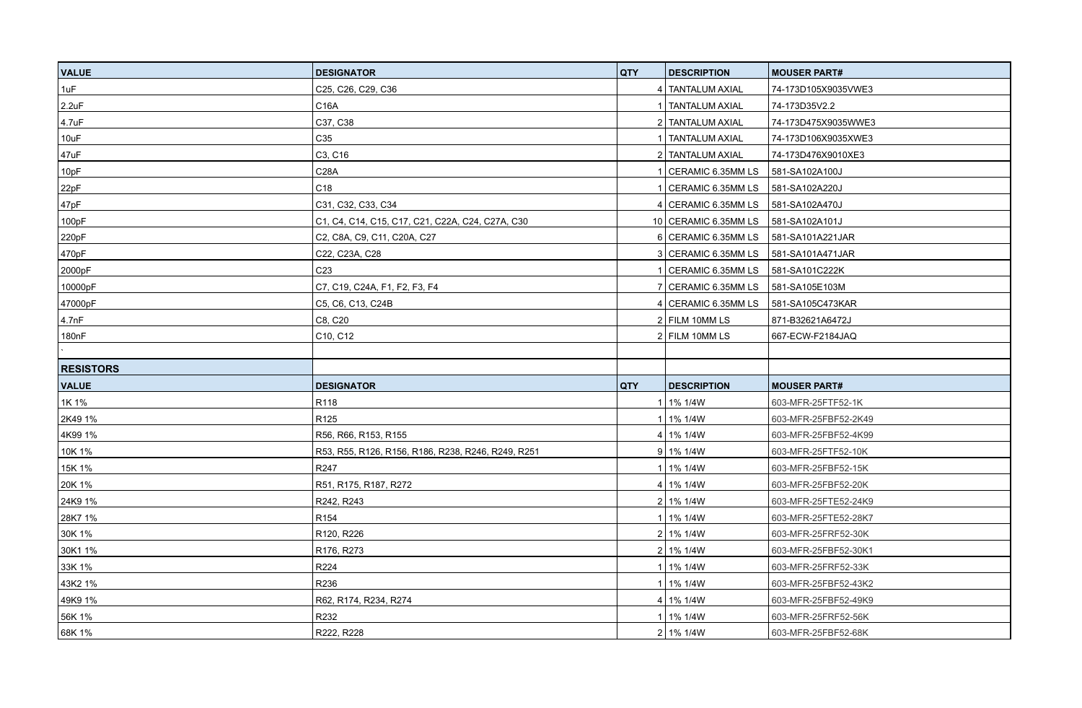| <b>VALUE</b>       | <b>DESIGNATOR</b>                                  | <b>QTY</b> | <b>DESCRIPTION</b>                     | <b>MOUSER PART#</b>  |
|--------------------|----------------------------------------------------|------------|----------------------------------------|----------------------|
| 1uF                | C25, C26, C29, C36                                 |            | 4 TANTALUM AXIAL                       | 74-173D105X9035VWE3  |
| 2.2uF              | C16A                                               |            | 1   TANTALUM AXIAL                     | 74-173D35V2.2        |
| 4.7 <sub>u</sub> F | C37, C38                                           |            | 2   TANTALUM AXIAL                     | 74-173D475X9035WWE3  |
| 10uF               | C35                                                |            | TANTALUM AXIAL                         | 74-173D106X9035XWE3  |
| 47uF               | C3, C16                                            |            | 2   TANTALUM AXIAL                     | 74-173D476X9010XE3   |
| 10pF               | C28A                                               |            | CERAMIC 6.35MM LS                      | 581-SA102A100J       |
| 22pF               | C18                                                |            | CERAMIC 6.35MM LS                      | 581-SA102A220J       |
| 47pF               | C31, C32, C33, C34                                 |            |                                        |                      |
| 100pF              | C1, C4, C14, C15, C17, C21, C22A, C24, C27A, C30   |            | 10 CERAMIC 6.35MM LS                   | 581-SA102A101J       |
| 220pF              | C2, C8A, C9, C11, C20A, C27                        |            | 6 CERAMIC 6.35MM LS                    | 581-SA101A221JAR     |
| 470pF              | C22, C23A, C28                                     |            | 3 CERAMIC 6.35MM LS                    | 581-SA101A471JAR     |
| 2000pF             | C <sub>23</sub>                                    |            | 1   CERAMIC 6.35MM LS   581-SA101C222K |                      |
| 10000pF            | C7, C19, C24A, F1, F2, F3, F4                      |            | 7 CERAMIC 6.35MM LS                    | 581-SA105E103M       |
| 47000pF            | C5, C6, C13, C24B                                  |            | 4 CERAMIC 6.35MM LS                    | 581-SA105C473KAR     |
| 4.7nF              | C8, C20                                            |            | $2$ FILM 10MM LS                       | 871-B32621A6472J     |
| 180nF              | C10, C12                                           |            | $2$ FILM 10MM LS                       | 667-ECW-F2184JAQ     |
|                    |                                                    |            |                                        |                      |
| <b>RESISTORS</b>   |                                                    |            |                                        |                      |
| <b>VALUE</b>       | <b>DESIGNATOR</b>                                  | QTY        | <b>DESCRIPTION</b>                     | <b>MOUSER PART#</b>  |
| 1K 1%              | R118                                               |            | 1   1% 1/4W                            | 603-MFR-25FTF52-1K   |
| 2K49 1%            | R <sub>125</sub>                                   |            | 1   1% 1/4W                            | 603-MFR-25FBF52-2K49 |
| 4K99 1%            | R56, R66, R153, R155                               |            | 4 1% 1/4W                              | 603-MFR-25FBF52-4K99 |
| 10K 1%             | R53, R55, R126, R156, R186, R238, R246, R249, R251 |            | $9 1\% 1/4W$                           | 603-MFR-25FTF52-10K  |
| 15K 1%             | R247                                               |            | 1 1% 1/4W                              | 603-MFR-25FBF52-15K  |
| 20K 1%             | R51, R175, R187, R272                              |            | $4 1\% 1/4W$                           | 603-MFR-25FBF52-20K  |
| 24K9 1%            | R242, R243                                         |            | 2 1% 1/4W                              | 603-MFR-25FTE52-24K9 |
| 28K7 1%            | R <sub>154</sub>                                   |            | 1 1% 1/4W                              | 603-MFR-25FTE52-28K7 |
| 30K 1%             | R120, R226                                         |            | 2 1% 1/4W                              | 603-MFR-25FRF52-30K  |
| 30K1 1%            | R176, R273                                         |            | 2 1% 1/4W                              | 603-MFR-25FBF52-30K1 |
| 33K 1%             | R224                                               |            | 1 1% 1/4W                              | 603-MFR-25FRF52-33K  |
| 43K2 1%            | R236                                               |            | 1 1% 1/4W                              | 603-MFR-25FBF52-43K2 |
| 49K9 1%            | R62, R174, R234, R274                              |            | $4 1\% 1/4W$                           | 603-MFR-25FBF52-49K9 |
| 56K 1%             | R232                                               |            | 1 1% 1/4W                              | 603-MFR-25FRF52-56K  |
| 68K 1%             | R222, R228                                         |            | $2 1\% 1/4W$                           | 603-MFR-25FBF52-68K  |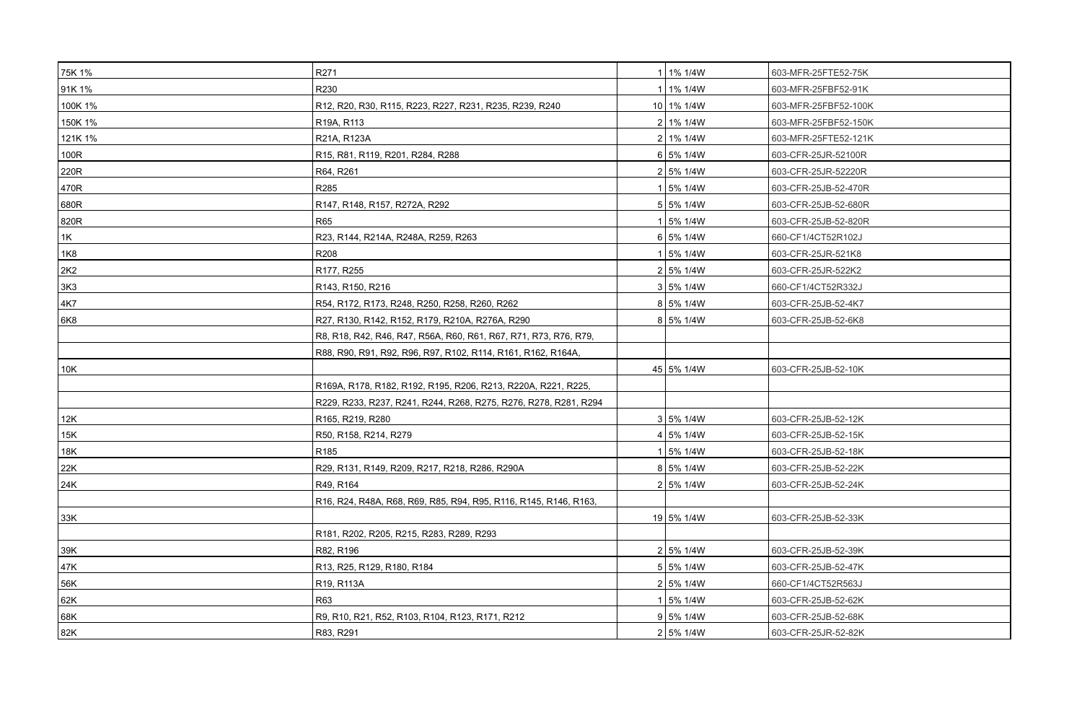| 75K 1%          | R271                                                             | 1 1% 1/4W   | 603-MFR-25FTE52-75K  |
|-----------------|------------------------------------------------------------------|-------------|----------------------|
| 91K 1%          | R230                                                             | 1 1% 1/4W   | 603-MFR-25FBF52-91K  |
| 100K 1%         | R12, R20, R30, R115, R223, R227, R231, R235, R239, R240          | 10 1% 1/4W  | 603-MFR-25FBF52-100K |
| 150K 1%         | R19A, R113                                                       | 2 1% 1/4W   | 603-MFR-25FBF52-150K |
| 121K 1%         | R21A, R123A                                                      | 2   1% 1/4W | 603-MFR-25FTE52-121K |
| 100R            | R15, R81, R119, R201, R284, R288                                 | 6 5% 1/4W   | 603-CFR-25JR-52100R  |
| 220R            | R64, R261                                                        | 2 5% 1/4W   | 603-CFR-25JR-52220R  |
| 470R            | R <sub>285</sub>                                                 | 1 5% 1/4W   | 603-CFR-25JB-52-470R |
| 680R            | R147, R148, R157, R272A, R292                                    | 5 5% 1/4W   | 603-CFR-25JB-52-680R |
| 820R            | R65                                                              | 1 5% 1/4W   | 603-CFR-25JB-52-820R |
| 1K              | R23, R144, R214A, R248A, R259, R263                              | 6 5%1/4W    | 660-CF1/4CT52R102J   |
| 1K8             | R208                                                             | 1 5% 1/4W   | 603-CFR-25JR-521K8   |
| 2K <sub>2</sub> | R177, R255                                                       | 2 5% 1/4W   | 603-CFR-25JR-522K2   |
| 3K3             | R143, R150, R216                                                 | 3 5% 1/4W   | 660-CF1/4CT52R332J   |
| 4K7             | R54, R172, R173, R248, R250, R258, R260, R262                    | 8 5%1/4W    | 603-CFR-25JB-52-4K7  |
| 6K8             | R27, R130, R142, R152, R179, R210A, R276A, R290                  | 8 5% 1/4W   | 603-CFR-25JB-52-6K8  |
|                 | R8, R18, R42, R46, R47, R56A, R60, R61, R67, R71, R73, R76, R79, |             |                      |
|                 | R88, R90, R91, R92, R96, R97, R102, R114, R161, R162, R164A,     |             |                      |
| 10K             |                                                                  | 45 5% 1/4W  | 603-CFR-25JB-52-10K  |
|                 | R169A, R178, R182, R192, R195, R206, R213, R220A, R221, R225,    |             |                      |
|                 | R229, R233, R237, R241, R244, R268, R275, R276, R278, R281, R294 |             |                      |
| 12K             | R165, R219, R280                                                 | 3 5% 1/4W   | 603-CFR-25JB-52-12K  |
| 15K             | R50, R158, R214, R279                                            | 4 5% 1/4W   | 603-CFR-25JB-52-15K  |
| 18K             | R185                                                             | 1 5% 1/4W   | 603-CFR-25JB-52-18K  |
| 22K             | R29, R131, R149, R209, R217, R218, R286, R290A                   | 8 5% 1/4W   | 603-CFR-25JB-52-22K  |
| 24K             | R49, R164                                                        | 2 5% 1/4W   | 603-CFR-25JB-52-24K  |
|                 | R16, R24, R48A, R68, R69, R85, R94, R95, R116, R145, R146, R163, |             |                      |
| 33K             |                                                                  | 19 5% 1/4W  | 603-CFR-25JB-52-33K  |
|                 | R181, R202, R205, R215, R283, R289, R293                         |             |                      |
| 39K             | R82, R196                                                        | 2 5% 1/4W   | 603-CFR-25JB-52-39K  |
| 47K             | R13, R25, R129, R180, R184                                       | 5 5% 1/4W   | 603-CFR-25JB-52-47K  |
| 56K             | R19, R113A                                                       | 2 5% 1/4W   | 660-CF1/4CT52R563J   |
| 62K             | R63                                                              | 1 5% 1/4W   | 603-CFR-25JB-52-62K  |
| 68K             | R9, R10, R21, R52, R103, R104, R123, R171, R212                  | 9 5% 1/4W   | 603-CFR-25JB-52-68K  |
| 82K             | R83, R291                                                        | 2 5% 1/4W   | 603-CFR-25JR-52-82K  |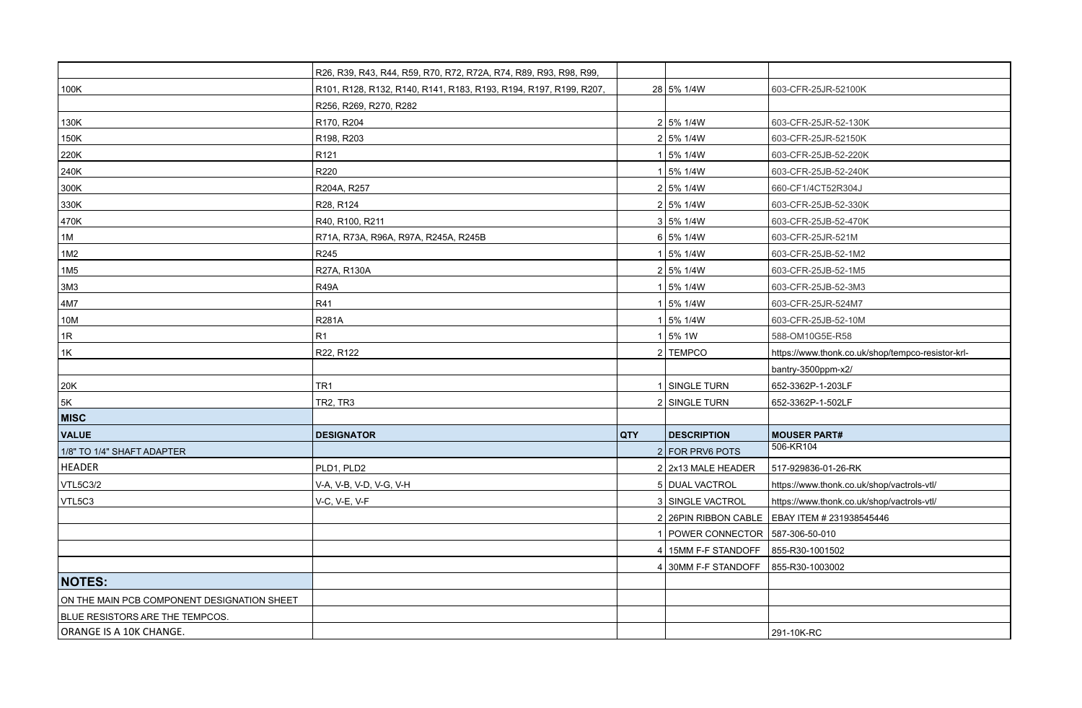|                                             | R26, R39, R43, R44, R59, R70, R72, R72A, R74, R89, R93, R98, R99, |            |                                      |                                                   |
|---------------------------------------------|-------------------------------------------------------------------|------------|--------------------------------------|---------------------------------------------------|
| 100K                                        | R101, R128, R132, R140, R141, R183, R193, R194, R197, R199, R207, |            | 28 5% 1/4W                           | 603-CFR-25JR-52100K                               |
|                                             | R256, R269, R270, R282                                            |            |                                      |                                                   |
| 130K                                        | R170, R204                                                        |            | 2 5% 1/4W                            | 603-CFR-25JR-52-130K                              |
| 150K                                        | R198, R203                                                        |            | 2 5% 1/4W                            | 603-CFR-25JR-52150K                               |
| 220K                                        | R <sub>121</sub>                                                  |            | 1 5% 1/4W                            | 603-CFR-25JB-52-220K                              |
| 240K                                        | R220                                                              |            | 1 5% 1/4W                            | 603-CFR-25JB-52-240K                              |
| 300K                                        | R204A, R257                                                       |            | 2 5% 1/4W                            | 660-CF1/4CT52R304J                                |
| 330K                                        | R28, R124                                                         |            | 2 5% 1/4W                            | 603-CFR-25JB-52-330K                              |
| 470K                                        | R40, R100, R211                                                   |            | 3 5% 1/4W                            | 603-CFR-25JB-52-470K                              |
| 1M                                          | R71A, R73A, R96A, R97A, R245A, R245B                              |            | 6 5%1/4W                             | 603-CFR-25JR-521M                                 |
| 1M2                                         | R245                                                              |            | 1 5% 1/4W                            | 603-CFR-25JB-52-1M2                               |
| 1M <sub>5</sub>                             | R27A, R130A                                                       |            | 2 5% 1/4W                            | 603-CFR-25JB-52-1M5                               |
| 3M <sub>3</sub>                             | R49A                                                              |            | 1 5% 1/4W                            | 603-CFR-25JB-52-3M3                               |
| 4M7                                         | R41                                                               |            | 1 5% 1/4W                            | 603-CFR-25JR-524M7                                |
| 10M                                         | <b>R281A</b>                                                      |            | 1 5% 1/4W                            | 603-CFR-25JB-52-10M                               |
| 1R                                          | R1                                                                |            | 1 5%1W                               | 588-OM10G5E-R58                                   |
| 1K                                          | R22, R122                                                         |            | 2 TEMPCO                             | https://www.thonk.co.uk/shop/tempco-resistor-krl- |
|                                             |                                                                   |            |                                      | bantry-3500ppm-x2/                                |
| 20K                                         | TR1                                                               |            | 1 SINGLE TURN                        | 652-3362P-1-203LF                                 |
| 5K                                          | TR2, TR3                                                          |            | 2 SINGLE TURN                        | 652-3362P-1-502LF                                 |
| <b>MISC</b>                                 |                                                                   |            |                                      |                                                   |
| <b>VALUE</b>                                | <b>DESIGNATOR</b>                                                 | <b>QTY</b> | <b>DESCRIPTION</b>                   | <b>MOUSER PART#</b>                               |
| 1/8" TO 1/4" SHAFT ADAPTER                  |                                                                   |            | 2 FOR PRV6 POTS                      | 506-KR104                                         |
| <b>HEADER</b>                               | PLD1, PLD2                                                        |            | 2 2x13 MALE HEADER                   | 517-929836-01-26-RK                               |
| <b>VTL5C3/2</b>                             | V-A, V-B, V-D, V-G, V-H                                           |            | 5   DUAL VACTROL                     | https://www.thonk.co.uk/shop/vactrols-vtl/        |
| VTL5C3                                      | V-C, V-E, V-F                                                     |            | 3 SINGLE VACTROL                     | https://www.thonk.co.uk/shop/vactrols-vtl/        |
|                                             |                                                                   |            |                                      | 2 26PIN RIBBON CABLE EBAY ITEM # 231938545446     |
|                                             |                                                                   |            | 1   POWER CONNECTOR   587-306-50-010 |                                                   |
|                                             |                                                                   |            | 4   15MM F-F STANDOFF                | 855-R30-1001502                                   |
|                                             |                                                                   |            | 4 30MM F-F STANDOFF                  | 855-R30-1003002                                   |
| <b>NOTES:</b>                               |                                                                   |            |                                      |                                                   |
| ON THE MAIN PCB COMPONENT DESIGNATION SHEET |                                                                   |            |                                      |                                                   |
| BLUE RESISTORS ARE THE TEMPCOS.             |                                                                   |            |                                      |                                                   |
| ORANGE IS A 10K CHANGE.                     |                                                                   |            |                                      | 291-10K-RC                                        |